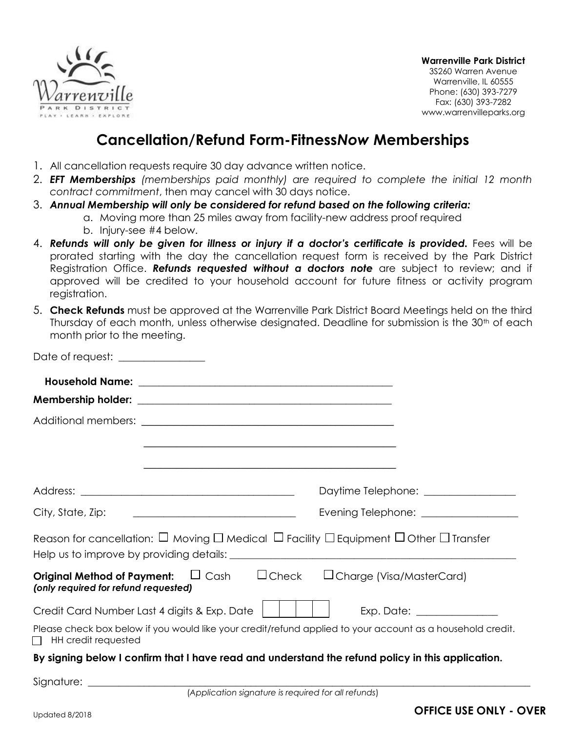

**Warrenville Park District**

3S260 Warren Avenue Warrenville, IL 60555 Phone: (630) 393-7279 Fax: (630) 393-7282 www.warrenvilleparks.org

## **Cancellation/Refund Form-Fitness***Now* **Memberships**

- 1. All cancellation requests require 30 day advance written notice.
- 2. *EFT Memberships (memberships paid monthly) are required to complete the initial 12 month contract commitment*, then may cancel with 30 days notice.
- 3. *Annual Membership will only be considered for refund based on the following criteria:*
	- a. Moving more than 25 miles away from facility-new address proof required b. Injury-see #4 below.
- 4. *Refunds will only be given for illness or injury if a doctor's certificate is provided.* Fees will be prorated starting with the day the cancellation request form is received by the Park District Registration Office. *Refunds requested without a doctors note* are subject to review; and if approved will be credited to your household account for future fitness or activity program registration.
- 5. **Check Refunds** must be approved at the Warrenville Park District Board Meetings held on the third Thursday of each month, unless otherwise designated. Deadline for submission is the  $30<sup>th</sup>$  of each month prior to the meeting.

| Date of request: _______________                                                                                                    |                                                                                                                      |
|-------------------------------------------------------------------------------------------------------------------------------------|----------------------------------------------------------------------------------------------------------------------|
|                                                                                                                                     |                                                                                                                      |
|                                                                                                                                     |                                                                                                                      |
|                                                                                                                                     |                                                                                                                      |
|                                                                                                                                     | <u> 1990 - Jan James James James James James James James James James James James James James James James James J</u> |
|                                                                                                                                     |                                                                                                                      |
|                                                                                                                                     | Daytime Telephone: ________________                                                                                  |
| City, State, Zip:                                                                                                                   | Evening Telephone: _________________                                                                                 |
| Reason for cancellation: $\Box$ Moving $\Box$ Medical $\Box$ Facility $\Box$ Equipment $\Box$ Other $\Box$ Transfer                 |                                                                                                                      |
| <b>Original Method of Payment:</b> $\Box$ Cash $\Box$ Check $\Box$ Charge (Visa/MasterCard)<br>(only required for refund requested) |                                                                                                                      |
| Credit Card Number Last 4 digits & Exp. Date                                                                                        |                                                                                                                      |
| $\Box$ HH credit requested                                                                                                          | Please check box below if you would like your credit/refund applied to your account as a household credit.           |
|                                                                                                                                     | By signing below I confirm that I have read and understand the refund policy in this application.                    |
|                                                                                                                                     | $(x_1, \ldots, x_n)$ and $(x_1, \ldots, x_n)$ and $(x_1, \ldots, x_n)$ are solved in the set of $(x_1, \ldots, x_n)$ |